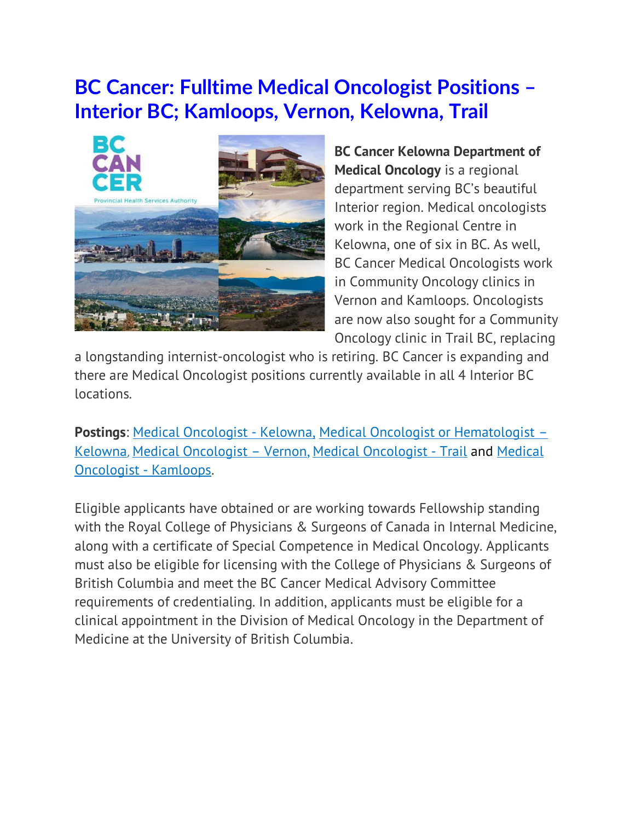## **BC Cancer: Fulltime Medical Oncologist Positions – Interior BC; Kamloops, Vernon, Kelowna, Trail**



**BC Cancer Kelowna Department of Medical Oncology** is a regional department serving BC's beautiful Interior region. Medical oncologists work in the Regional Centre in Kelowna, one of six in BC. As well, BC Cancer Medical Oncologists work in Community Oncology clinics in Vernon and Kamloops. Oncologists are now also sought for a Community Oncology clinic in Trail BC, replacing

a longstanding internist-oncologist who is retiring. BC Cancer is expanding and there are Medical Oncologist positions currently available in all 4 Interior BC locations.

**Postings**: [Medical Oncologist -](https://jobs.phsa.ca/job/kelowna/medical-oncologist-bc-cancer-kelowna/909/27203922400) Kelowna, [Medical Oncologist or Hematologist](https://jobs.phsa.ca/job/kelowna/medical-oncologist-or-hematologist-bc-cancer-kelowna/909/27203922320) – [Kelowna](https://jobs.phsa.ca/job/kelowna/medical-oncologist-or-hematologist-bc-cancer-kelowna/909/27203922320), [Medical Oncologist](https://jobs.phsa.ca/job/vernon/medical-oncologist-bc-cancer-vernon/909/22852967648) – Vernon, [Medical Oncologist -](https://jobs.phsa.ca/job/trail/medical-oncologist-bc-cancer-trail/909/22852965584) Trail and [Medical](https://jobs.phsa.ca/job/kamloops/medical-oncologist-bc-cancer-kamloops/909/22852965328)  [Oncologist -](https://jobs.phsa.ca/job/kamloops/medical-oncologist-bc-cancer-kamloops/909/22852965328) Kamloops.

Eligible applicants have obtained or are working towards Fellowship standing with the Royal College of Physicians & Surgeons of Canada in Internal Medicine, along with a certificate of Special Competence in Medical Oncology. Applicants must also be eligible for licensing with the College of Physicians & Surgeons of British Columbia and meet the BC Cancer Medical Advisory Committee requirements of credentialing. In addition, applicants must be eligible for a clinical appointment in the Division of Medical Oncology in the Department of Medicine at the University of British Columbia.